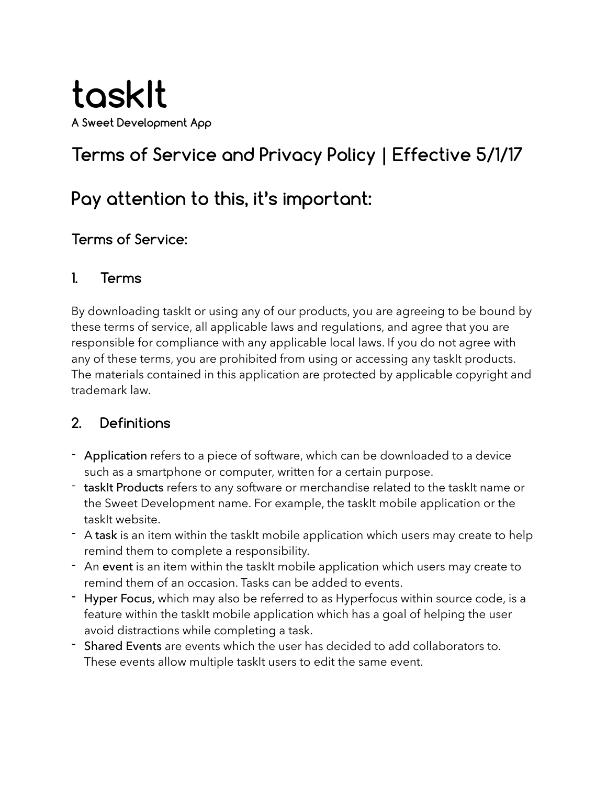

# **Terms of Service and Privacy Policy | Effective 5/1/17**

## **Pay attention to this, it's important:**

#### **Terms of Service:**

#### **1. Terms**

By downloading taskIt or using any of our products, you are agreeing to be bound by these terms of service, all applicable laws and regulations, and agree that you are responsible for compliance with any applicable local laws. If you do not agree with any of these terms, you are prohibited from using or accessing any taskit products. The materials contained in this application are protected by applicable copyright and trademark law.

#### **2. Definitions**

- Application refers to a piece of software, which can be downloaded to a device such as a smartphone or computer, written for a certain purpose.
- taskIt Products refers to any software or merchandise related to the taskIt name or the Sweet Development name. For example, the taskIt mobile application or the taskIt website.
- A task is an item within the taskIt mobile application which users may create to help remind them to complete a responsibility.
- An event is an item within the taskIt mobile application which users may create to remind them of an occasion. Tasks can be added to events.
- Hyper Focus, which may also be referred to as Hyperfocus within source code, is a feature within the taskIt mobile application which has a goal of helping the user avoid distractions while completing a task.
- Shared Events are events which the user has decided to add collaborators to. These events allow multiple taskIt users to edit the same event.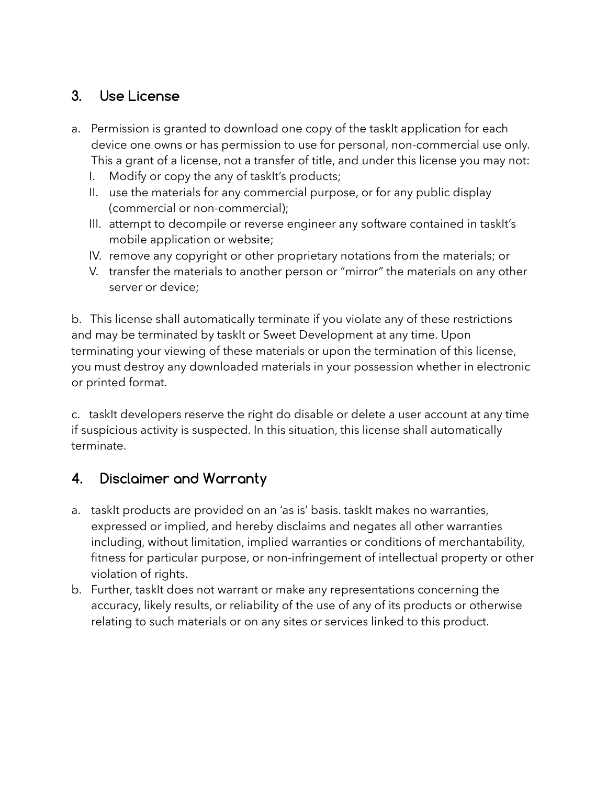## **3. Use License**

- a. Permission is granted to download one copy of the taskit application for each device one owns or has permission to use for personal, non-commercial use only. This a grant of a license, not a transfer of title, and under this license you may not:
	- I. Modify or copy the any of taskIt's products;
	- II. use the materials for any commercial purpose, or for any public display (commercial or non-commercial);
	- III. attempt to decompile or reverse engineer any software contained in taskIt's mobile application or website;
	- IV. remove any copyright or other proprietary notations from the materials; or
	- V. transfer the materials to another person or "mirror" the materials on any other server or device;

b. This license shall automatically terminate if you violate any of these restrictions and may be terminated by taskIt or Sweet Development at any time. Upon terminating your viewing of these materials or upon the termination of this license, you must destroy any downloaded materials in your possession whether in electronic or printed format.

c. taskIt developers reserve the right do disable or delete a user account at any time if suspicious activity is suspected. In this situation, this license shall automatically terminate.

## **4. Disclaimer and Warranty**

- a. taskIt products are provided on an 'as is' basis. taskIt makes no warranties, expressed or implied, and hereby disclaims and negates all other warranties including, without limitation, implied warranties or conditions of merchantability, fitness for particular purpose, or non-infringement of intellectual property or other violation of rights.
- b. Further, taskIt does not warrant or make any representations concerning the accuracy, likely results, or reliability of the use of any of its products or otherwise relating to such materials or on any sites or services linked to this product.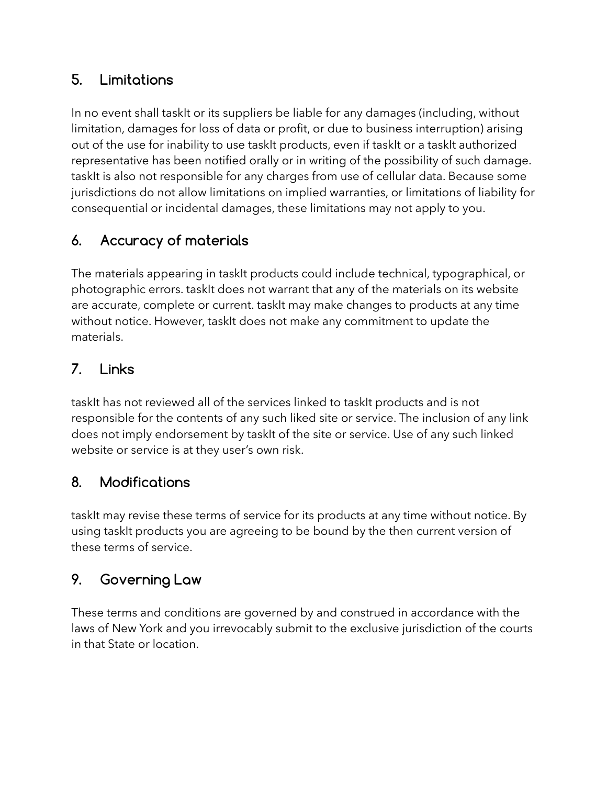## **5. Limitations**

In no event shall taskIt or its suppliers be liable for any damages (including, without limitation, damages for loss of data or profit, or due to business interruption) arising out of the use for inability to use taskIt products, even if taskIt or a taskIt authorized representative has been notified orally or in writing of the possibility of such damage. taskIt is also not responsible for any charges from use of cellular data. Because some jurisdictions do not allow limitations on implied warranties, or limitations of liability for consequential or incidental damages, these limitations may not apply to you.

## **6. Accuracy of materials**

The materials appearing in taskIt products could include technical, typographical, or photographic errors. taskIt does not warrant that any of the materials on its website are accurate, complete or current. taskIt may make changes to products at any time without notice. However, taskIt does not make any commitment to update the materials.

#### **7. Links**

taskIt has not reviewed all of the services linked to taskIt products and is not responsible for the contents of any such liked site or service. The inclusion of any link does not imply endorsement by taskIt of the site or service. Use of any such linked website or service is at they user's own risk.

#### **8. Modifications**

taskIt may revise these terms of service for its products at any time without notice. By using taskIt products you are agreeing to be bound by the then current version of these terms of service.

#### **9. Governing Law**

These terms and conditions are governed by and construed in accordance with the laws of New York and you irrevocably submit to the exclusive jurisdiction of the courts in that State or location.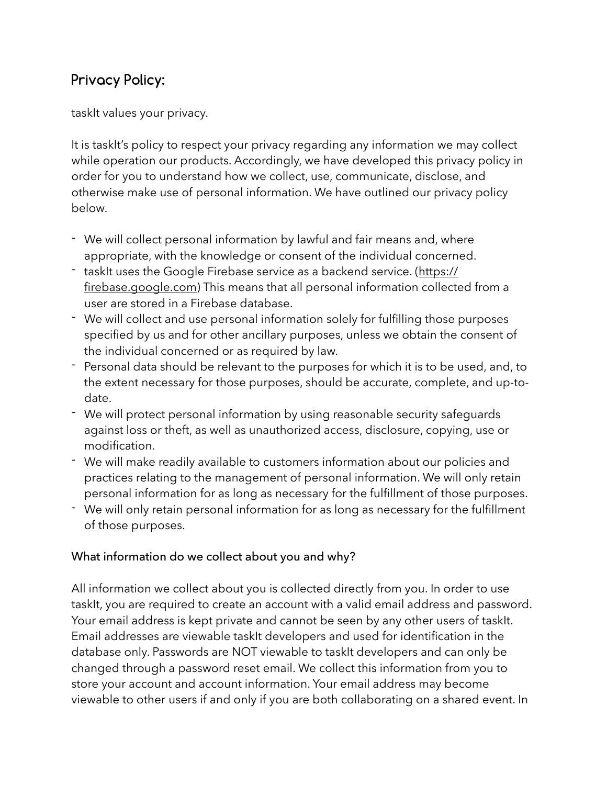## **Privacy Policy:**

taskIt values your privacy.

It is taskIt's policy to respect your privacy regarding any information we may collect while operation our products. Accordingly, we have developed this privacy policy in order for you to understand how we collect, use, communicate, disclose, and otherwise make use of personal information. We have outlined our privacy policy below.

- We will collect personal information by lawful and fair means and, where appropriate, with the knowledge or consent of the individual concerned.
- taskIt uses the Google Firebase service as a backend service. [\(https://](https://firebase.google.com) [firebase.google.com\)](https://firebase.google.com) This means that all personal information collected from a user are stored in a Firebase database.
- We will collect and use personal information solely for fulfilling those purposes specified by us and for other ancillary purposes, unless we obtain the consent of the individual concerned or as required by law.
- Personal data should be relevant to the purposes for which it is to be used, and, to the extent necessary for those purposes, should be accurate, complete, and up-todate.
- We will protect personal information by using reasonable security safeguards against loss or theft, as well as unauthorized access, disclosure, copying, use or modification.
- We will make readily available to customers information about our policies and practices relating to the management of personal information. We will only retain personal information for as long as necessary for the fulfillment of those purposes.
- We will only retain personal information for as long as necessary for the fulfillment of those purposes.

#### What information do we collect about you and why?

All information we collect about you is collected directly from you. In order to use taskIt, you are required to create an account with a valid email address and password. Your email address is kept private and cannot be seen by any other users of taskIt. Email addresses are viewable taskIt developers and used for identification in the database only. Passwords are NOT viewable to taskIt developers and can only be changed through a password reset email. We collect this information from you to store your account and account information. Your email address may become viewable to other users if and only if you are both collaborating on a shared event. In